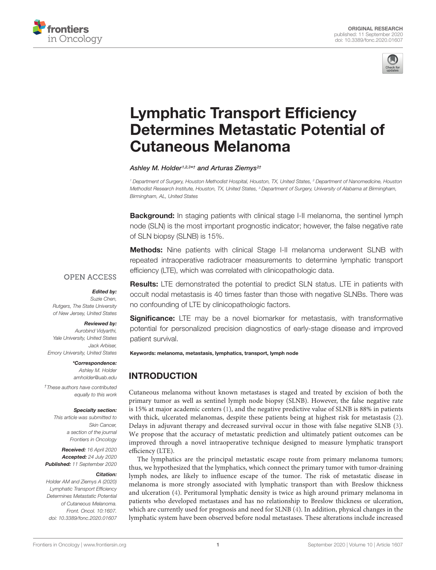



# Lymphatic Transport Efficiency [Determines Metastatic Potential of](https://www.frontiersin.org/articles/10.3389/fonc.2020.01607/full) Cutaneous Melanoma

[Ashley M. Holder](http://loop.frontiersin.org/people/908290/overview)1,2,3\*† and Arturas Ziemys<sup>2†</sup>

<sup>1</sup> Department of Surgery, Houston Methodist Hospital, Houston, TX, United States, <sup>2</sup> Department of Nanomedicine, Houston Methodist Research Institute, Houston, TX, United States, <sup>3</sup> Department of Surgery, University of Alabama at Birmingham, Birmingham, AL, United States

**Background:** In staging patients with clinical stage I-II melanoma, the sentinel lymph node (SLN) is the most important prognostic indicator; however, the false negative rate of SLN biopsy (SLNB) is 15%.

Methods: Nine patients with clinical Stage I-II melanoma underwent SLNB with repeated intraoperative radiotracer measurements to determine lymphatic transport efficiency (LTE), which was correlated with clinicopathologic data.

## **OPEN ACCESS**

#### Edited by:

Suzie Chen, Rutgers, The State University of New Jersey, United States

#### Reviewed by:

Aurobind Vidyarthi, Yale University, United States Jack Arbiser, Emory University, United States

#### \*Correspondence:

Ashley M. Holder amholder@uab.edu

†These authors have contributed equally to this work

#### Specialty section:

This article was submitted to Skin Cancer, a section of the journal Frontiers in Oncology

Received: 16 April 2020 Accepted: 24 July 2020 Published: 11 September 2020

#### Citation:

Holder AM and Ziemys A (2020) Lymphatic Transport Efficiency Determines Metastatic Potential of Cutaneous Melanoma. Front. Oncol. 10:1607. doi: [10.3389/fonc.2020.01607](https://doi.org/10.3389/fonc.2020.01607)

Results: LTE demonstrated the potential to predict SLN status. LTE in patients with occult nodal metastasis is 40 times faster than those with negative SLNBs. There was no confounding of LTE by clinicopathologic factors.

**Significance:** LTE may be a novel biomarker for metastasis, with transformative potential for personalized precision diagnostics of early-stage disease and improved patient survival.

Keywords: melanoma, metastasis, lymphatics, transport, lymph node

# INTRODUCTION

Cutaneous melanoma without known metastases is staged and treated by excision of both the primary tumor as well as sentinel lymph node biopsy (SLNB). However, the false negative rate is 15% at major academic centers [\(1\)](#page-4-0), and the negative predictive value of SLNB is 88% in patients with thick, ulcerated melanomas, despite these patients being at highest risk for metastasis [\(2\)](#page-4-1). Delays in adjuvant therapy and decreased survival occur in those with false negative SLNB [\(3\)](#page-4-2). We propose that the accuracy of metastatic prediction and ultimately patient outcomes can be improved through a novel intraoperative technique designed to measure lymphatic transport efficiency (LTE).

The lymphatics are the principal metastatic escape route from primary melanoma tumors; thus, we hypothesized that the lymphatics, which connect the primary tumor with tumor-draining lymph nodes, are likely to influence escape of the tumor. The risk of metastatic disease in melanoma is more strongly associated with lymphatic transport than with Breslow thickness and ulceration [\(4\)](#page-4-3). Peritumoral lymphatic density is twice as high around primary melanoma in patients who developed metastases and has no relationship to Breslow thickness or ulceration, which are currently used for prognosis and need for SLNB [\(4\)](#page-4-3). In addition, physical changes in the lymphatic system have been observed before nodal metastases. These alterations include increased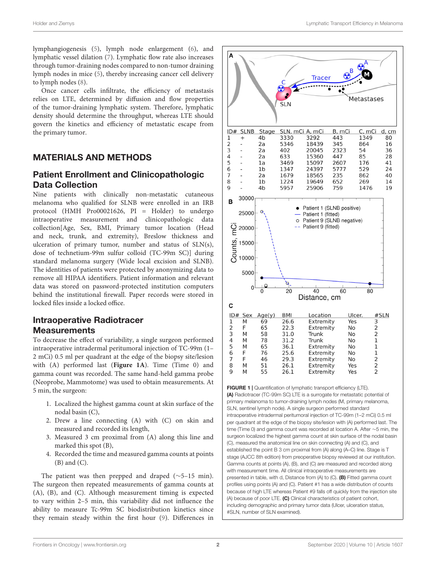lymphangiogenesis [\(5\)](#page-4-4), lymph node enlargement [\(6\)](#page-4-5), and lymphatic vessel dilation [\(7\)](#page-4-6). Lymphatic flow rate also increases through tumor-draining nodes compared to non-tumor draining lymph nodes in mice [\(5\)](#page-4-4), thereby increasing cancer cell delivery to lymph nodes [\(8\)](#page-4-7).

Once cancer cells infiltrate, the efficiency of metastasis relies on LTE, determined by diffusion and flow properties of the tumor-draining lymphatic system. Therefore, lymphatic density should determine the throughput, whereas LTE should govern the kinetics and efficiency of metastatic escape from the primary tumor.

# MATERIALS AND METHODS

# Patient Enrollment and Clinicopathologic Data Collection

Nine patients with clinically non-metastatic cutaneous melanoma who qualified for SLNB were enrolled in an IRB protocol (HMH Pro00021626, PI = Holder) to undergo intraoperative measurement and clinicopathologic data collection[Age, Sex, BMI, Primary tumor location (Head and neck, trunk, and extremity), Breslow thickness and ulceration of primary tumor, number and status of SLN(s), dose of technetium-99m sulfur colloid (TC-99m SC)] during standard melanoma surgery (Wide local excision and SLNB). The identities of patients were protected by anonymizing data to remove all HIPAA identifiers. Patient information and relevant data was stored on password-protected institution computers behind the institutional firewall. Paper records were stored in locked files inside a locked office.

# Intraoperative Radiotracer **Measurements**

To decrease the effect of variability, a single surgeon performed intraoperative intradermal peritumoral injection of TC-99m (1– 2 mCi) 0.5 ml per quadrant at the edge of the biopsy site/lesion with (A) performed last (**[Figure 1A](#page-1-0)**). Time (Time 0) and gamma count was recorded. The same hand-held gamma probe (Neoprobe, Mammotome) was used to obtain measurements. At 5 min, the surgeon:

- 1. Localized the highest gamma count at skin surface of the nodal basin (C),
- 2. Drew a line connecting (A) with (C) on skin and measured and recorded its length,
- 3. Measured 3 cm proximal from (A) along this line and marked this spot (B),
- 4. Recorded the time and measured gamma counts at points (B) and (C).

The patient was then prepped and draped (∼5–15 min). The surgeon then repeated measurements of gamma counts at (A), (B), and (C). Although measurement timing is expected to vary within 2–5 min, this variability did not influence the ability to measure Tc-99m SC biodistribution kinetics since they remain steady within the first hour [\(9\)](#page-4-8). Differences in



<span id="page-1-0"></span>(A) Radiotracer (TC-99m SC) LTE is a surrogate for metastatic potential of primary melanoma to tumor-draining lymph nodes (M, primary melanoma, SLN, sentinel lymph node). A single surgeon performed standard intraoperative intradermal peritumoral injection of TC-99m (1–2 mCi) 0.5 ml per quadrant at the edge of the biopsy site/lesion with (A) performed last. The time (Time 0) and gamma count was recorded at location A. After ∼5 min, the surgeon localized the highest gamma count at skin surface of the nodal basin (C), measured the anatomical line on skin connecting (A) and (C), and established the point B 3 cm proximal from (A) along (A–C) line. Stage is T stage (AJCC 8th edition) from preoperative biopsy reviewed at our institution. Gamma counts at points (A), (B), and (C) are measured and recorded along with measurement time. All clinical intraoperative measurements are presented in table, with d, Distance from (A) to (C). (B) Fitted gamma count profiles using points (A) and (C). Patient #1 has a wide distribution of counts because of high LTE whereas Patient #9 falls off quickly from the injection site (A) because of poor LTE. (C) Clinical characteristics of patient cohort, including demographic and primary tumor data (Ulcer, ulceration status, #SLN, number of SLN examined).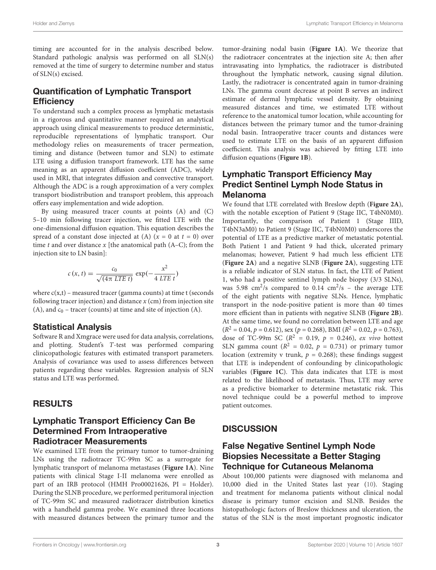timing are accounted for in the analysis described below. Standard pathologic analysis was performed on all SLN(s) removed at the time of surgery to determine number and status of SLN(s) excised.

# Quantification of Lymphatic Transport **Efficiency**

To understand such a complex process as lymphatic metastasis in a rigorous and quantitative manner required an analytical approach using clinical measurements to produce deterministic, reproducible representations of lymphatic transport. Our methodology relies on measurements of tracer permeation, timing and distance (between tumor and SLN) to estimate LTE using a diffusion transport framework. LTE has the same meaning as an apparent diffusion coefficient (ADC), widely used in MRI, that integrates diffusion and convective transport. Although the ADC is a rough approximation of a very complex transport biodistribution and transport problem, this approach offers easy implementation and wide adoption.

By using measured tracer counts at points (A) and (C) 5–10 min following tracer injection, we fitted LTE with the one-dimensional diffusion equation. This equation describes the spread of a constant dose injected at (A)  $(x = 0$  at  $t = 0)$  over time t and over distance  $x$  [the anatomical path (A–C); from the injection site to LN basin]:

$$
c(x, t) = \frac{c_0}{\sqrt{(4\pi \ LTE \ t)}} \exp(-\frac{x^2}{4 \ LTE \ t})
$$

where  $c(x,t)$  – measured tracer (gamma counts) at time t (seconds following tracer injection) and distance  $x$  (cm) from injection site (A), and  $c_0$  – tracer (counts) at time and site of injection (A).

### Statistical Analysis

Software R and Xmgrace were used for data analysis, correlations, and plotting. Student's T-test was performed comparing clinicopathologic features with estimated transport parameters. Analysis of covariance was used to assess differences between patients regarding these variables. Regression analysis of SLN status and LTE was performed.

#### RESULTS

## Lymphatic Transport Efficiency Can Be Determined From Intraoperative Radiotracer Measurements

We examined LTE from the primary tumor to tumor-draining LNs using the radiotracer TC-99m SC as a surrogate for lymphatic transport of melanoma metastases (**[Figure 1A](#page-1-0)**). Nine patients with clinical Stage I-II melanoma were enrolled as part of an IRB protocol (HMH Pro00021626, PI = Holder). During the SLNB procedure, we performed peritumoral injection of TC-99m SC and measured radiotracer distribution kinetics with a handheld gamma probe. We examined three locations with measured distances between the primary tumor and the tumor-draining nodal basin (**[Figure 1A](#page-1-0)**). We theorize that the radiotracer concentrates at the injection site A; then after intravasating into lymphatics, the radiotracer is distributed throughout the lymphatic network, causing signal dilution. Lastly, the radiotracer is concentrated again in tumor-draining LNs. The gamma count decrease at point B serves an indirect estimate of dermal lymphatic vessel density. By obtaining measured distances and time, we estimated LTE without reference to the anatomical tumor location, while accounting for distances between the primary tumor and the tumor-draining nodal basin. Intraoperative tracer counts and distances were used to estimate LTE on the basis of an apparent diffusion coefficient. This analysis was achieved by fitting LTE into diffusion equations (**[Figure 1B](#page-1-0)**).

# Lymphatic Transport Efficiency May Predict Sentinel Lymph Node Status in Melanoma

We found that LTE correlated with Breslow depth (**[Figure 2A](#page-3-0)**), with the notable exception of Patient 9 (Stage IIC, T4bN0M0). Importantly, the comparison of Patient 1 (Stage IIID, T4bN3aM0) to Patient 9 (Stage IIC, T4bN0M0) underscores the potential of LTE as a predictive marker of metastatic potential. Both Patient 1 and Patient 9 had thick, ulcerated primary melanomas; however, Patient 9 had much less efficient LTE (**[Figure 2A](#page-3-0)**) and a negative SLNB (**[Figure 2A](#page-3-0)**), suggesting LTE is a reliable indicator of SLN status. In fact, the LTE of Patient 1, who had a positive sentinel lymph node biopsy (3/3 SLNs), was 5.98 cm<sup>2</sup>/s compared to 0.14 cm<sup>2</sup>/s - the average LTE of the eight patients with negative SLNs. Hence, lymphatic transport in the node-positive patient is more than 40 times more efficient than in patients with negative SLNB (**[Figure 2B](#page-3-0)**). At the same time, we found no correlation between LTE and age  $(R<sup>2</sup> = 0.04, p = 0.612)$ , sex (p = 0.268), BMI ( $R<sup>2</sup> = 0.02, p = 0.763$ ), dose of TC-99m SC ( $R^2 = 0.19$ ,  $p = 0.246$ ), ex vivo hottest SLN gamma count ( $R^2 = 0.02$ ,  $p = 0.731$ ) or primary tumor location (extremity v trunk,  $p = 0.268$ ); these findings suggest that LTE is independent of confounding by clinicopathologic variables (**[Figure 1C](#page-1-0)**). This data indicates that LTE is most related to the likelihood of metastasis. Thus, LTE may serve as a predictive biomarker to determine metastatic risk. This novel technique could be a powerful method to improve patient outcomes.

#### **DISCUSSION**

# False Negative Sentinel Lymph Node Biopsies Necessitate a Better Staging Technique for Cutaneous Melanoma

About 100,000 patients were diagnosed with melanoma and 10,000 died in the United States last year [\(10\)](#page-4-9). Staging and treatment for melanoma patients without clinical nodal disease is primary tumor excision and SLNB. Besides the histopathologic factors of Breslow thickness and ulceration, the status of the SLN is the most important prognostic indicator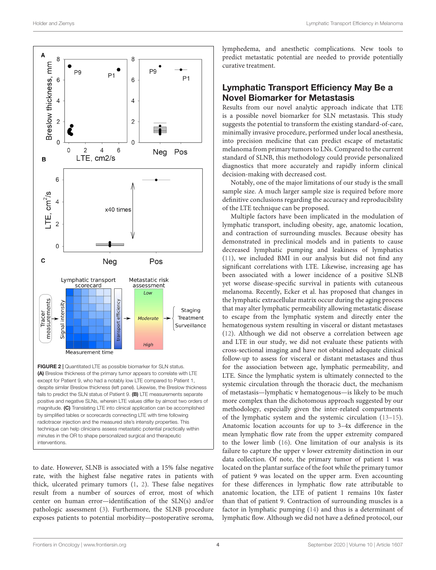

<span id="page-3-0"></span>except for Patient 9, who had a notably low LTE compared to Patient 1, despite similar Breslow thickness (left panel). Likewise, the Breslow thickness fails to predict the SLN status of Patient 9. (B) LTE measurements separate positive and negative SLNs, wherein LTE values differ by almost two orders of magnitude. (C) Translating LTE into clinical application can be accomplished by simplified tables or scorecards connecting LTE with time following radiotracer injection and the measured site's intensity properties. This technique can help clinicians assess metastatic potential practically within minutes in the OR to shape personalized surgical and therapeutic interventions.

to date. However, SLNB is associated with a 15% false negative rate, with the highest false negative rates in patients with thick, ulcerated primary tumors [\(1,](#page-4-0) [2\)](#page-4-1). These false negatives result from a number of sources of error, most of which center on human error—identification of the SLN(s) and/or pathologic assessment [\(3\)](#page-4-2). Furthermore, the SLNB procedure exposes patients to potential morbidity—postoperative seroma,

lymphedema, and anesthetic complications. New tools to predict metastatic potential are needed to provide potentially curative treatment.

#### Lymphatic Transport Efficiency May Be a Novel Biomarker for Metastasis

Results from our novel analytic approach indicate that LTE is a possible novel biomarker for SLN metastasis. This study suggests the potential to transform the existing standard-of-care, minimally invasive procedure, performed under local anesthesia, into precision medicine that can predict escape of metastatic melanoma from primary tumors to LNs. Compared to the current standard of SLNB, this methodology could provide personalized diagnostics that more accurately and rapidly inform clinical decision-making with decreased cost.

Notably, one of the major limitations of our study is the small sample size. A much larger sample size is required before more definitive conclusions regarding the accuracy and reproducibility of the LTE technique can be proposed.

Multiple factors have been implicated in the modulation of lymphatic transport, including obesity, age, anatomic location, and contraction of surrounding muscles. Because obesity has demonstrated in preclinical models and in patients to cause decreased lymphatic pumping and leakiness of lymphatics [\(11\)](#page-4-10), we included BMI in our analysis but did not find any significant correlations with LTE. Likewise, increasing age has been associated with a lower incidence of a positive SLNB yet worse disease-specific survival in patients with cutaneous melanoma. Recently, Ecker et al. has proposed that changes in the lymphatic extracellular matrix occur during the aging process that may alter lymphatic permeability allowing metastatic disease to escape from the lymphatic system and directly enter the hematogenous system resulting in visceral or distant metastases [\(12\)](#page-5-0). Although we did not observe a correlation between age and LTE in our study, we did not evaluate these patients with cross-sectional imaging and have not obtained adequate clinical follow-up to assess for visceral or distant metastases and thus for the association between age, lymphatic permeability, and LTE. Since the lymphatic system is ultimately connected to the systemic circulation through the thoracic duct, the mechanism of metastasis—lymphatic v hematogenous—is likely to be much more complex than the dichotomous approach suggested by our methodology, especially given the inter-related compartments of the lymphatic system and the systemic circulation [\(13–](#page-5-1)[15\)](#page-5-2). Anatomic location accounts for up to 3–4x difference in the mean lymphatic flow rate from the upper extremity compared to the lower limb [\(16\)](#page-5-3). One limitation of our analysis is its failure to capture the upper v lower extremity distinction in our data collection. Of note, the primary tumor of patient 1 was located on the plantar surface of the foot while the primary tumor of patient 9 was located on the upper arm. Even accounting for these differences in lymphatic flow rate attributable to anatomic location, the LTE of patient 1 remains 10x faster than that of patient 9. Contraction of surrounding muscles is a factor in lymphatic pumping [\(14\)](#page-5-4) and thus is a determinant of lymphatic flow. Although we did not have a defined protocol, our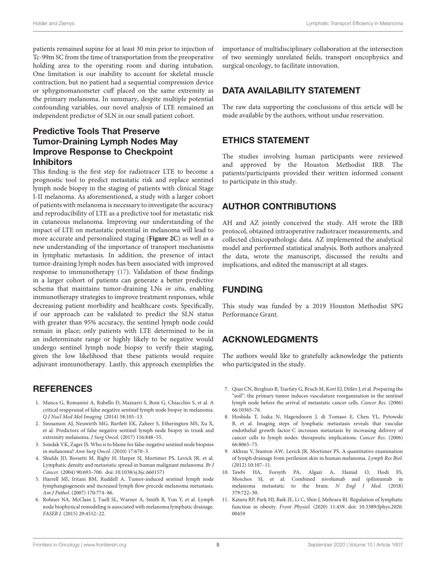patients remained supine for at least 30 min prior to injection of Tc-99m SC from the time of transportation from the preoperative holding area to the operating room and during intubation. One limitation is our inability to account for skeletal muscle contraction, but no patient had a sequential compression device or sphygmomanometer cuff placed on the same extremity as the primary melanoma. In summary, despite multiple potential confounding variables, our novel analysis of LTE remained an independent predictor of SLN in our small patient cohort.

# Predictive Tools That Preserve Tumor-Draining Lymph Nodes May Improve Response to Checkpoint Inhibitors

This finding is the first step for radiotracer LTE to become a prognostic tool to predict metastatic risk and replace sentinel lymph node biopsy in the staging of patients with clinical Stage I-II melanoma. As aforementioned, a study with a larger cohort of patients with melanoma is necessary to investigate the accuracy and reproducibility of LTE as a predictive tool for metastatic risk in cutaneous melanoma. Improving our understanding of the impact of LTE on metastatic potential in melanoma will lead to more accurate and personalized staging (**[Figure 2C](#page-3-0)**) as well as a new understanding of the importance of transport mechanisms in lymphatic metastasis. In addition, the presence of intact tumor-draining lymph nodes has been associated with improved response to immunotherapy [\(17\)](#page-5-5). Validation of these findings in a larger cohort of patients can generate a better predictive schema that maintains tumor-draining LNs in situ, enabling immunotherapy strategies to improve treatment responses, while decreasing patient morbidity and healthcare costs. Specifically, if our approach can be validated to predict the SLN status with greater than 95% accuracy, the sentinel lymph node could remain in place; only patients with LTE determined to be in an indeterminate range or highly likely to be negative would undergo sentinel lymph node biopsy to verify their staging, given the low likelihood that these patients would require adjuvant immunotherapy. Lastly, this approach exemplifies the

## **REFERENCES**

- <span id="page-4-0"></span>1. Manca G, Romanini A, Rubello D, Mazzarri S, Boni G, Chiacchio S, et al. A critical reappraisal of false negative sentinel lymph node biopsy in melanoma. Q J Nucl Med Mol Imaging. (2014) 58:105–13.
- <span id="page-4-1"></span>2. Sinnamon AJ, Neuwirth MG, Bartlett EK, Zaheer S, Etherington MS, Xu X, et al. Predictors of false negative sentinel lymph node biopsy in trunk and extremity melanoma. J Surg Oncol. (2017) 116:848–55.
- <span id="page-4-2"></span>3. Sondak VK, Zager JS. Who is to blame for false-negative sentinel node biopsies in melanoma? Ann Surg Oncol. (2010) 17:670–3.
- <span id="page-4-3"></span>4. Shields JD, Borsetti M, Rigby H, Harper SJ, Mortimer PS, Levick JR, et al. Lymphatic density and metastatic spread in human malignant melanoma. Br J Cancer. (2004) 90:693–700. [doi: 10.1038/sj.bjc.6601571](https://doi.org/10.1038/sj.bjc.6601571)
- <span id="page-4-4"></span>5. Harrell MI, Iritani BM, Ruddell A. Tumor-induced sentinel lymph node lymphangiogenesis and increased lymph flow precede melanoma metastasis. Am J Pathol. (2007) 170:774–86.
- <span id="page-4-5"></span>6. Rohner NA, McClain J, Tuell SL, Warner A, Smith B, Yun Y, et al. Lymph node biophysical remodeling is associated with melanoma lymphatic drainage. FASEB J. (2015) 29:4512–22.

importance of multidisciplinary collaboration at the intersection of two seemingly unrelated fields, transport oncophysics and surgical oncology, to facilitate innovation.

# DATA AVAILABILITY STATEMENT

The raw data supporting the conclusions of this article will be made available by the authors, without undue reservation.

## ETHICS STATEMENT

The studies involving human participants were reviewed and approved by the Houston Methodist IRB. The patients/participants provided their written informed consent to participate in this study.

## AUTHOR CONTRIBUTIONS

AH and AZ jointly conceived the study. AH wrote the IRB protocol, obtained intraoperative radiotracer measurements, and collected clinicopathologic data. AZ implemented the analytical model and performed statistical analysis. Both authors analyzed the data, wrote the manuscript, discussed the results and implications, and edited the manuscript at all stages.

# FUNDING

This study was funded by a 2019 Houston Methodist SPG Performance Grant.

# ACKNOWLEDGMENTS

The authors would like to gratefully acknowledge the patients who participated in the study.

- <span id="page-4-6"></span>7. Qian CN, Berghuis B, Tsarfaty G, Bruch M, Kort EJ, Ditlev J, et al. Preparing the "soil": the primary tumor induces vasculature reorganization in the sentinel lymph node before the arrival of metastatic cancer cells. Cancer Res. (2006) 66:10365–76.
- <span id="page-4-7"></span>8. Hoshida T, Isaka N, Hagendoorn J, di Tomaso E, Chen YL, Pytowski B, et al. Imaging steps of lymphatic metastasis reveals that vascular endothelial growth factor-C increases metastasis by increasing delivery of cancer cells to lymph nodes: therapeutic implications. Cancer Res. (2006) 66:8065–75.
- <span id="page-4-8"></span>9. Akhras V, Stanton AW, Levick JR, Mortimer PS. A quantitative examination of lymph drainage from perilesion skin in human melanoma. Lymph Res Biol. (2012) 10:107–11.
- <span id="page-4-9"></span>10. Tawbi HA, Forsyth PA, Algazi A, Hamid O, Hodi FS, Moschos SJ, et al. Combined nivolumab and ipilimumab in melanoma metastatic to the brain. N Engl J Med. (2018) 379:722–30.
- <span id="page-4-10"></span>11. Kataru RP, Park HJ, Baik JE, Li C, Shin J, Mehrara BJ. Regulation of lymphatic function in obesity. Front Physiol. (2020) 11:459. [doi: 10.3389/fphys.2020.](https://doi.org/10.3389/fphys.2020.00459) [00459](https://doi.org/10.3389/fphys.2020.00459)